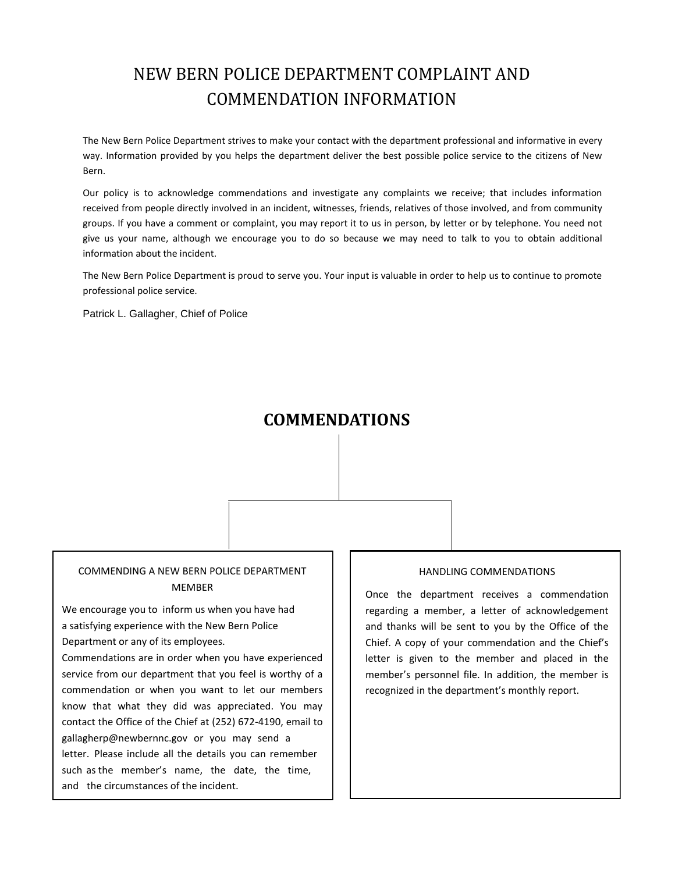# NEW BERN POLICE DEPARTMENT COMPLAINT AND COMMENDATION INFORMATION

The New Bern Police Department strives to make your contact with the department professional and informative in every way. Information provided by you helps the department deliver the best possible police service to the citizens of New Bern.

Our policy is to acknowledge commendations and investigate any complaints we receive; that includes information received from people directly involved in an incident, witnesses, friends, relatives of those involved, and from community groups. If you have a comment or complaint, you may report it to us in person, by letter or by telephone. You need not give us your name, although we encourage you to do so because we may need to talk to you to obtain additional information about the incident.

The New Bern Police Department is proud to serve you. Your input is valuable in order to help us to continue to promote professional police service.

Patrick L. Gallagher, Chief of Police

# **COMMENDATIONS**

### COMMENDING A NEW BERN POLICE DEPARTMENT MEMBER

We encourage you to inform us when you have had a satisfying experience with the New Bern Police Department or any of its employees.

Commendations are in order when you have experienced service from our department that you feel is worthy of a commendation or when you want to let our members know that what they did was appreciated. You may contact the Office of the Chief at (252) 672-4190, email to gallagherp@newbernnc.gov or you may send a letter. Please include all the details you can remember such as the member's name, the date, the time, and the circumstances of the incident.

#### HANDLING COMMENDATIONS

Once the department receives a commendation regarding a member, a letter of acknowledgement and thanks will be sent to you by the Office of the Chief. A copy of your commendation and the Chief's letter is given to the member and placed in the member's personnel file. In addition, the member is recognized in the department's monthly report.